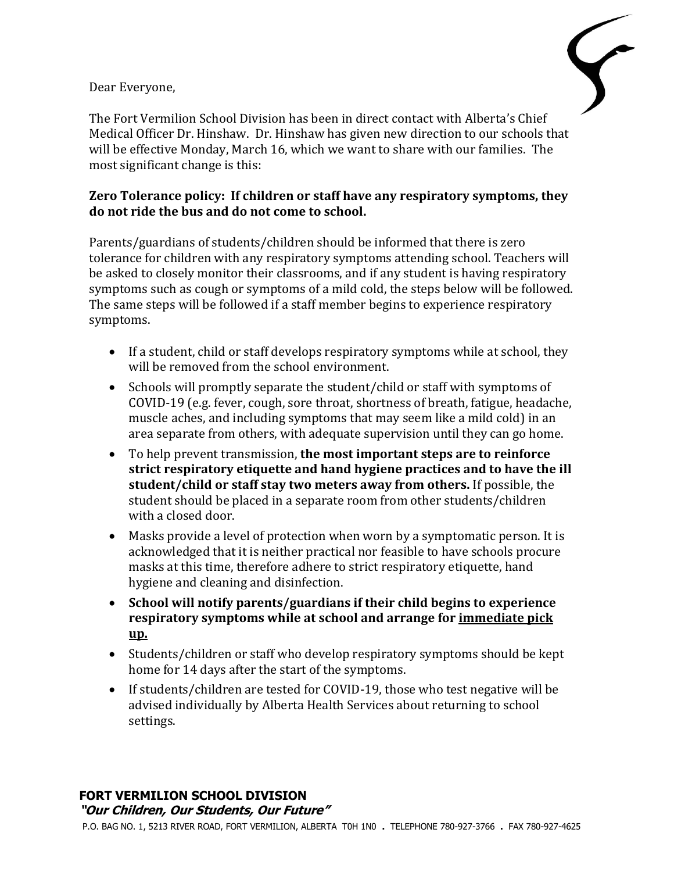Dear Everyone,



The Fort Vermilion School Division has been in direct contact with Alberta's Chief Medical Officer Dr. Hinshaw. Dr. Hinshaw has given new direction to our schools that will be effective Monday, March 16, which we want to share with our families. The most significant change is this:

## **Zero Tolerance policy: If children or staff have any respiratory symptoms, they do not ride the bus and do not come to school.**

Parents/guardians of students/children should be informed that there is zero tolerance for children with any respiratory symptoms attending school. Teachers will be asked to closely monitor their classrooms, and if any student is having respiratory symptoms such as cough or symptoms of a mild cold, the steps below will be followed. The same steps will be followed if a staff member begins to experience respiratory symptoms.

- If a student, child or staff develops respiratory symptoms while at school, they will be removed from the school environment.
- Schools will promptly separate the student/child or staff with symptoms of COVID-19 (e.g. fever, cough, sore throat, shortness of breath, fatigue, headache, muscle aches, and including symptoms that may seem like a mild cold) in an area separate from others, with adequate supervision until they can go home.
- To help prevent transmission, **the most important steps are to reinforce strict respiratory etiquette and hand hygiene practices and to have the ill student/child or staff stay two meters away from others.** If possible, the student should be placed in a separate room from other students/children with a closed door.
- Masks provide a level of protection when worn by a symptomatic person. It is acknowledged that it is neither practical nor feasible to have schools procure masks at this time, therefore adhere to strict respiratory etiquette, hand hygiene and cleaning and disinfection.
- **School will notify parents/guardians if their child begins to experience respiratory symptoms while at school and arrange for immediate pick up.**
- Students/children or staff who develop respiratory symptoms should be kept home for 14 days after the start of the symptoms.
- If students/children are tested for COVID-19, those who test negative will be advised individually by Alberta Health Services about returning to school settings.

## **FORT VERMILION SCHOOL DIVISION "Our Children, Our Students, Our Future"**